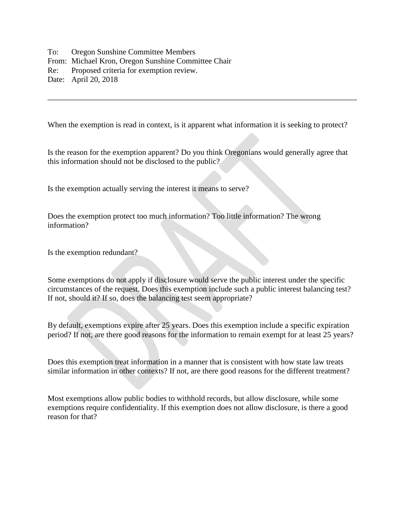To: Oregon Sunshine Committee Members From: Michael Kron, Oregon Sunshine Committee Chair Re: Proposed criteria for exemption review. Date: April 20, 2018

When the exemption is read in context, is it apparent what information it is seeking to protect?

Is the reason for the exemption apparent? Do you think Oregonians would generally agree that this information should not be disclosed to the public?

Is the exemption actually serving the interest it means to serve?

Does the exemption protect too much information? Too little information? The wrong information?

Is the exemption redundant?

Some exemptions do not apply if disclosure would serve the public interest under the specific circumstances of the request. Does this exemption include such a public interest balancing test? If not, should it? If so, does the balancing test seem appropriate?

By default, exemptions expire after 25 years. Does this exemption include a specific expiration period? If not, are there good reasons for the information to remain exempt for at least 25 years?

Does this exemption treat information in a manner that is consistent with how state law treats similar information in other contexts? If not, are there good reasons for the different treatment?

Most exemptions allow public bodies to withhold records, but allow disclosure, while some exemptions require confidentiality. If this exemption does not allow disclosure, is there a good reason for that?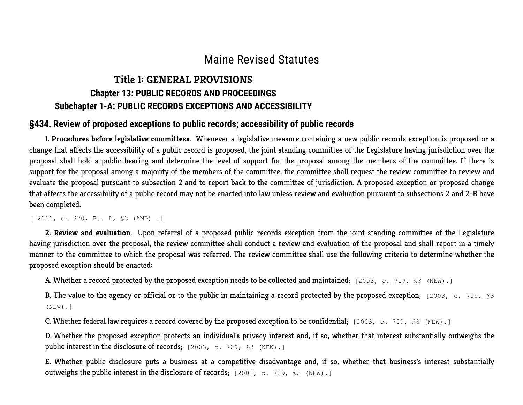# Maine Revised Statutes

# Title 1: GENERAL PROVISIONS Chapter 13: PUBLIC RECORDS AND PROCEEDINGS Subchapter 1-A: PUBLIC RECORDS EXCEPTIONS AND ACCESSIBILITY

### §434. Review of proposed exceptions to public records; accessibility of public records

1. Procedures before legislative committees. Whenever a legislative measure containing a new public records exception is proposed or a change that affects the accessibility of a public record is proposed, the joint standing committee of the Legislature having jurisdiction over the proposal shall hold a public hearing and determine the level of support for the proposal among the members of the committee. If there is support for the proposal among a majority of the members of the committee, the committee shall request the review committee to review and evaluate the proposal pursuant to subsection 2 and to report back to the committee of jurisdiction. A proposed exception or proposed change that affects the accessibility of a public record may not be enacted into law unless review and evaluation pursuant to subsections 2 and 2-B have been completed.

[ 2011, c. 320, Pt. D, §3 (AMD) .]

2. Review and evaluation. Upon referral of a proposed public records exception from the joint standing committee of the Legislature having jurisdiction over the proposal, the review committee shall conduct a review and evaluation of the proposal and shall report in a timely manner to the committee to which the proposal was referred. The review committee shall use the following criteria to determine whether the proposed exception should be enacted:

A. Whether a record protected by the proposed exception needs to be collected and maintained; [2003, c. 709, §3 (NEW).]

B. The value to the agency or official or to the public in maintaining a record protected by the proposed exception; [2003, c. 709, §3] (NEW).]

C. Whether federal law requires a record covered by the proposed exception to be confidential; [2003, c. 709, §3 (NEW).]

D. Whether the proposed exception protects an individual's privacy interest and, if so, whether that interest substantially outweighs the public interest in the disclosure of records; [2003, c. 709, §3 (NEW).]

E. Whether public disclosure puts a business at a competitive disadvantage and, if so, whether that business's interest substantially outweighs the public interest in the disclosure of records; [2003, c. 709, §3 (NEW).]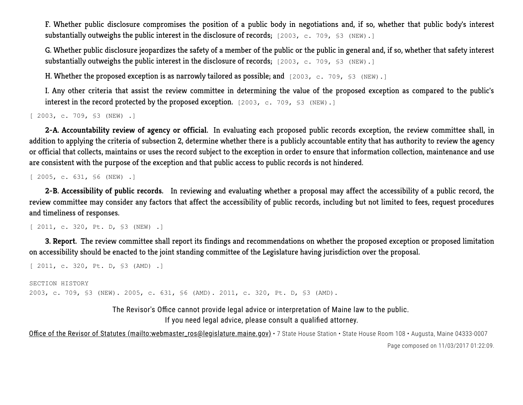F. Whether public disclosure compromises the position of a public body in negotiations and, if so, whether that public body's interest substantially outweighs the public interest in the disclosure of records; [2003, c. 709, \$3 (NEW).]

G. Whether public disclosure jeopardizes the safety of a member of the public or the public in general and, if so, whether that safety interest substantially outweighs the public interest in the disclosure of records; [2003, c. 709, \$3 (NEW).]

H. Whether the proposed exception is as narrowly tailored as possible; and  $[2003, c. 709, S3 (NEW).]$ 

I. Any other criteria that assist the review committee in determining the value of the proposed exception as compared to the public's interest in the record protected by the proposed exception. [2003, c. 709, §3 (NEW).]

[ 2003, c. 709, §3 (NEW) .]

2-A. Accountability review of agency or official. In evaluating each proposed public records exception, the review committee shall, in addition to applying the criteria of subsection 2, determine whether there is a publicly accountable entity that has authority to review the agency or official that collects, maintains or uses the record subject to the exception in order to ensure that information collection, maintenance and use are consistent with the purpose of the exception and that public access to public records is not hindered.

[ 2005, c. 631, §6 (NEW) .]

2-B. Accessibility of public records. In reviewing and evaluating whether a proposal may affect the accessibility of a public record, the review committee may consider any factors that affect the accessibility of public records, including but not limited to fees, request procedures and timeliness of responses.

[ 2011, c. 320, Pt. D, \$3 (NEW) .]

3. Report. The review committee shall report its findings and recommendations on whether the proposed exception or proposed limitation on accessibility should be enacted to the joint standing committee of the Legislature having jurisdiction over the proposal.

[ 2011, c. 320, Pt. D, §3 (AMD) .]

SECTION HISTORY 2003, c. 709, §3 (NEW). 2005, c. 631, §6 (AMD). 2011, c. 320, Pt. D, §3 (AMD).

> The Revisor's Office cannot provide legal advice or interpretation of Maine law to the public. If you need legal advice, please consult a qualified attorney.

Office of the Revisor of Statutes (mailto:webmaster\_ros@legislature.maine.gov) · 7 State House Station · State House Room 108 · Augusta, Maine 04333-0007 Page composed on 11/03/2017 01:22:09.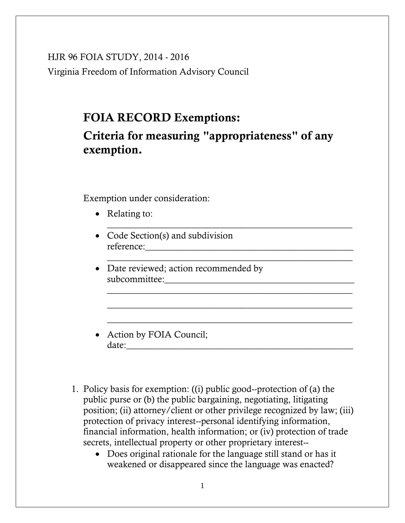HJR 96 FOIA STUDY, 2014 - 2016 Virginia Freedom of Information Advisory Council

# **FOIA RECORD Exemptions:**

**Criteria for measuring "appropriateness" of any exemption.**

\_\_\_\_\_\_\_\_\_\_\_\_\_\_\_\_\_\_\_\_\_\_\_\_\_\_\_\_\_\_\_\_\_\_\_\_\_\_\_\_\_\_\_\_\_\_\_\_\_\_\_\_\_

\_\_\_\_\_\_\_\_\_\_\_\_\_\_\_\_\_\_\_\_\_\_\_\_\_\_\_\_\_\_\_\_\_\_\_\_\_\_\_\_\_\_\_\_\_\_\_\_\_\_\_\_\_

\_\_\_\_\_\_\_\_\_\_\_\_\_\_\_\_\_\_\_\_\_\_\_\_\_\_\_\_\_\_\_\_\_\_\_\_\_\_\_\_\_\_\_\_\_\_\_\_\_\_\_\_\_

\_\_\_\_\_\_\_\_\_\_\_\_\_\_\_\_\_\_\_\_\_\_\_\_\_\_\_\_\_\_\_\_\_\_\_\_\_\_\_\_\_\_\_\_\_\_\_\_\_\_\_\_\_

\_\_\_\_\_\_\_\_\_\_\_\_\_\_\_\_\_\_\_\_\_\_\_\_\_\_\_\_\_\_\_\_\_\_\_\_\_\_\_\_\_\_\_\_\_\_\_\_\_\_\_\_\_

Exemption under consideration:

- Relating to:
- Code Section(s) and subdivision reference:\_\_\_\_\_\_\_\_\_\_\_\_\_\_\_\_\_\_\_\_\_\_\_\_\_\_\_\_\_\_\_\_\_\_\_\_\_\_\_\_\_\_\_\_\_
- Date reviewed; action recommended by subcommittee:\_\_\_\_\_\_\_\_\_\_\_\_\_\_\_\_\_\_\_\_\_\_\_\_\_\_\_\_\_\_\_\_\_\_\_\_\_\_\_\_\_
- Action by FOIA Council;  $date:$
- 1. Policy basis for exemption: ((i) public good--protection of (a) the public purse or (b) the public bargaining, negotiating, litigating position; (ii) attorney/client or other privilege recognized by law; (iii) protection of privacy interest--personal identifying information, financial information, health information; or (iv) protection of trade secrets, intellectual property or other proprietary interest--
	- Does original rationale for the language still stand or has it weakened or disappeared since the language was enacted?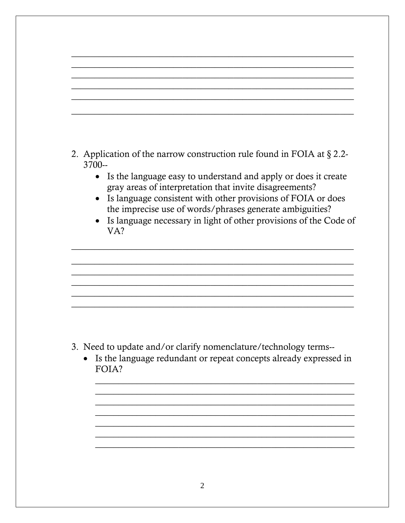- 2. Application of the narrow construction rule found in FOIA at  $\S 2.2$ - $3700 -$ 
	- Is the language easy to understand and apply or does it create gray areas of interpretation that invite disagreements?
	- Is language consistent with other provisions of FOIA or does the imprecise use of words/phrases generate ambiguities?
	- Is language necessary in light of other provisions of the Code of  $VA?$

- 3. Need to update and/or clarify nomenclature/technology terms--
	- Is the language redundant or repeat concepts already expressed in  $\bullet$ FOIA?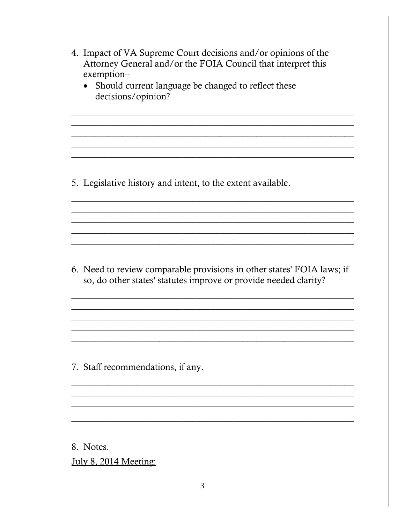- 4. Impact of VA Supreme Court decisions and/or opinions of the Attorney General and/or the FOIA Council that interpret this exemption--
	- Should current language be changed to reflect these decisions/opinion?

5. Legislative history and intent, to the extent available.

6. Need to review comparable provisions in other states' FOIA laws; if so, do other states' statutes improve or provide needed clarity?

7. Staff recommendations, if any.

8. Notes.

July 8, 2014 Meeting: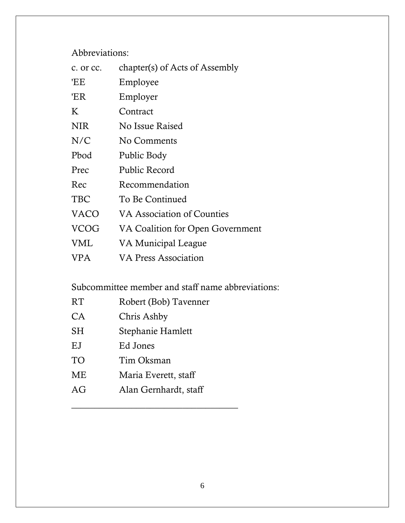Abbreviations:

| c. or cc.   | chapter(s) of Acts of Assembly   |
|-------------|----------------------------------|
| 'EE         | Employee                         |
| 'ER         | Employer                         |
| K           | Contract                         |
| <b>NIR</b>  | No Issue Raised                  |
| N/C         | No Comments                      |
| Pbod        | Public Body                      |
| Prec        | Public Record                    |
| Rec         | Recommendation                   |
| <b>TBC</b>  | To Be Continued                  |
| <b>VACO</b> | VA Association of Counties       |
| <b>VCOG</b> | VA Coalition for Open Government |
| <b>VML</b>  | VA Municipal League              |
| <b>VPA</b>  | <b>VA Press Association</b>      |

Subcommittee member and staff name abbreviations:

| RT        | Robert (Bob) Tavenner |
|-----------|-----------------------|
| <b>CA</b> | Chris Ashby           |
| <b>SH</b> | Stephanie Hamlett     |
| EJ        | Ed Jones              |
| TO        | Tim Oksman            |
| ME        | Maria Everett, staff  |
| AG        | Alan Gernhardt, staff |

\_\_\_\_\_\_\_\_\_\_\_\_\_\_\_\_\_\_\_\_\_\_\_\_\_\_\_\_\_\_\_\_\_\_\_\_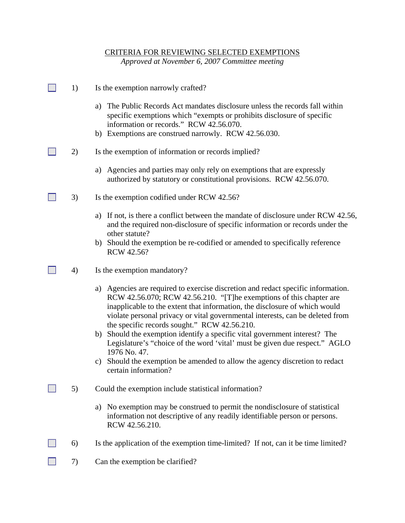#### CRITERIA FOR REVIEWING SELECTED EXEMPTIONS

*Approved at November 6, 2007 Committee meeting*

- $\Box$  1) Is the exemption narrowly crafted?
	- a) The Public Records Act mandates disclosure unless the records fall within specific exemptions which "exempts or prohibits disclosure of specific information or records." RCW 42.56.070.
	- b) Exemptions are construed narrowly. RCW 42.56.030.
- 2) Is the exemption of information or records implied?
	- a) Agencies and parties may only rely on exemptions that are expressly authorized by statutory or constitutional provisions. RCW 42.56.070.
- 3) Is the exemption codified under RCW 42.56?
	- a) If not, is there a conflict between the mandate of disclosure under RCW 42.56, and the required non-disclosure of specific information or records under the other statute?
	- b) Should the exemption be re-codified or amended to specifically reference RCW 42.56?
- $\Box$  4) Is the exemption mandatory?
	- a) Agencies are required to exercise discretion and redact specific information. RCW 42.56.070; RCW 42.56.210. "[T]he exemptions of this chapter are inapplicable to the extent that information, the disclosure of which would violate personal privacy or vital governmental interests, can be deleted from the specific records sought." RCW 42.56.210.
	- b) Should the exemption identify a specific vital government interest? The Legislature's "choice of the word 'vital' must be given due respect." AGLO 1976 No. 47.
	- c) Should the exemption be amended to allow the agency discretion to redact certain information?
- 5) Could the exemption include statistical information?
	- a) No exemption may be construed to permit the nondisclosure of statistical information not descriptive of any readily identifiable person or persons. RCW 42.56.210.
- $\Box$  6) Is the application of the exemption time-limited? If not, can it be time limited?
- $\Box$  7) Can the exemption be clarified?